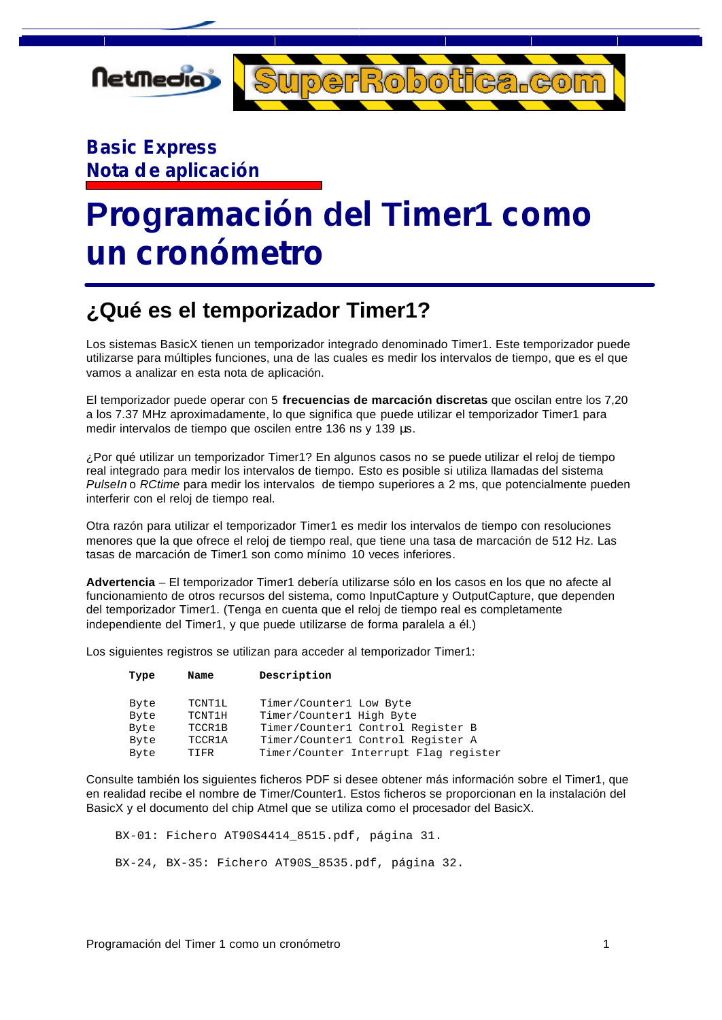

### **Basic Express Nota de aplicación**

# **Programación del Timer1 como un cronómetro**

### **¿Qué es el temporizador Timer1?**

Los sistemas BasicX tienen un temporizador integrado denominado Timer1. Este temporizador puede utilizarse para múltiples funciones, una de las cuales es medir los intervalos de tiempo, que es el que vamos a analizar en esta nota de aplicación.

El temporizador puede operar con 5 **frecuencias de marcación discretas** que oscilan entre los 7,20 a los 7.37 MHz aproximadamente, lo que significa que puede utilizar el temporizador Timer1 para medir intervalos de tiempo que oscilen entre 136 ns y 139 μs.

¿Por qué utilizar un temporizador Timer1? En algunos casos no se puede utilizar el reloj de tiempo real integrado para medir los intervalos de tiempo. Esto es posible si utiliza llamadas del sistema *PulseIn* o *RCtime* para medir los intervalos de tiempo superiores a 2 ms, que potencialmente pueden interferir con el reloj de tiempo real.

Otra razón para utilizar el temporizador Timer1 es medir los intervalos de tiempo con resoluciones menores que la que ofrece el reloj de tiempo real, que tiene una tasa de marcación de 512 Hz. Las tasas de marcación de Timer1 son como mínimo 10 veces inferiores.

**Advertencia** – El temporizador Timer1 debería utilizarse sólo en los casos en los que no afecte al funcionamiento de otros recursos del sistema, como InputCapture y OutputCapture, que dependen del temporizador Timer1. (Tenga en cuenta que el reloj de tiempo real es completamente independiente del Timer1, y que puede utilizarse de forma paralela a él.)

Los siguientes registros se utilizan para acceder al temporizador Timer1:

| Description<br>Name<br>Type                           |  |
|-------------------------------------------------------|--|
| TCNT1L<br>Timer/Counter1 Low Byte<br>Byte             |  |
| Timer/Counter1 High Byte<br>TCNT1H<br>Byte            |  |
| Timer/Counter1 Control Register B<br>TCCR1B<br>Byte   |  |
| TCCR1A<br>Timer/Counter1 Control Register A<br>Byte   |  |
| Timer/Counter Interrupt Flag register<br>Byte<br>TTFR |  |

Consulte también los siguientes ficheros PDF si desee obtener más información sobre el Timer1, que en realidad recibe el nombre de Timer/Counter1. Estos ficheros se proporcionan en la instalación del BasicX y el documento del chip Atmel que se utiliza como el procesador del BasicX.

BX-01: Fichero AT90S4414\_8515.pdf, página 31.

BX-24, BX-35: Fichero AT90S\_8535.pdf, página 32.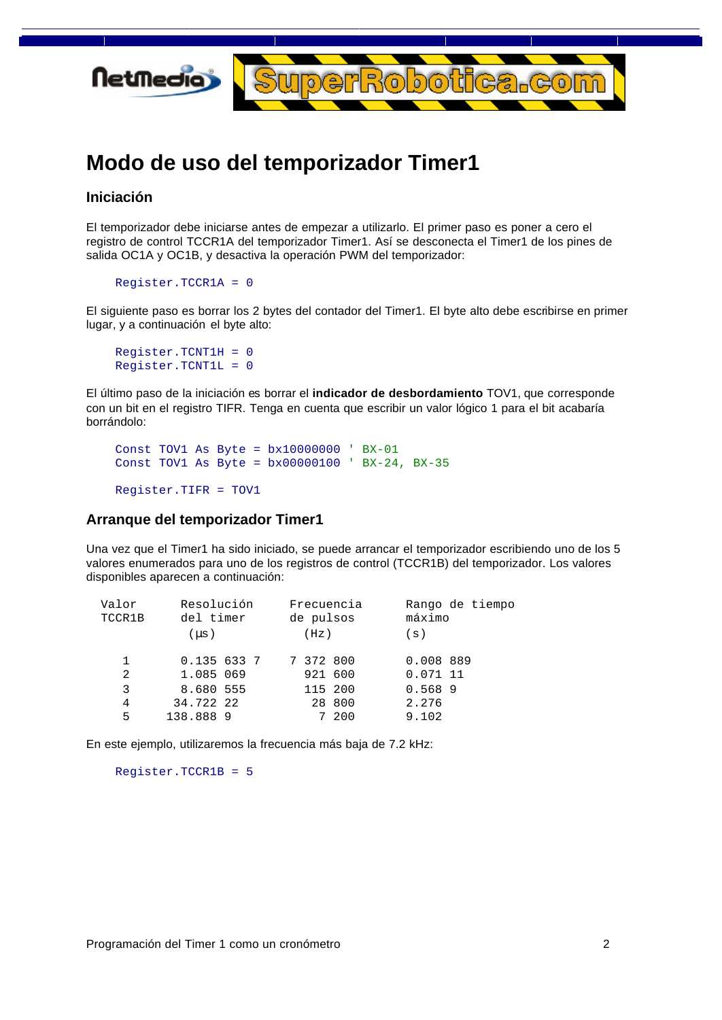

### **Modo de uso del temporizador Timer1**

#### **Iniciación**

El temporizador debe iniciarse antes de empezar a utilizarlo. El primer paso es poner a cero el registro de control TCCR1A del temporizador Timer1. Así se desconecta el Timer1 de los pines de salida OC1A y OC1B, y desactiva la operación PWM del temporizador:

```
 Register.TCCR1A = 0
```
El siguiente paso es borrar los 2 bytes del contador del Timer1. El byte alto debe escribirse en primer lugar, y a continuación el byte alto:

```
 Register.TCNT1H = 0
Register.TCNT1L = 0
```
El último paso de la iniciación es borrar el **indicador de desbordamiento** TOV1, que corresponde con un bit en el registro TIFR. Tenga en cuenta que escribir un valor lógico 1 para el bit acabaría borrándolo:

```
 Const TOV1 As Byte = bx10000000 ' BX-01
Const TOV1 As Byte = bx00000100 ' BX-24, BX-35
Register.TIFR = TOV1
```
#### **Arranque del temporizador Timer1**

Una vez que el Timer1 ha sido iniciado, se puede arrancar el temporizador escribiendo uno de los 5 valores enumerados para uno de los registros de control (TCCR1B) del temporizador. Los valores disponibles aparecen a continuación:

| Valor<br>TCCR1B | Resolución<br>del timer | Frecuencia<br>de pulsos | Rango de tiempo<br>máximo |
|-----------------|-------------------------|-------------------------|---------------------------|
|                 | $(\mu s)$               | (Hz)                    | (s)                       |
| 1               | 0.1356337               | 7 372 800               | 0.008 889                 |
| 2               | 1.085 069               | 921 600                 | $0.071$ 11                |
| 3               | 8.680 555               | 115 200                 | 0.568 9                   |
| 4               | 34.722 22               | 28 800                  | 2.276                     |
| 5               | 138.888 9               | 7 200                   | 9.102                     |

En este ejemplo, utilizaremos la frecuencia más baja de 7.2 kHz:

Register.TCCR1B = 5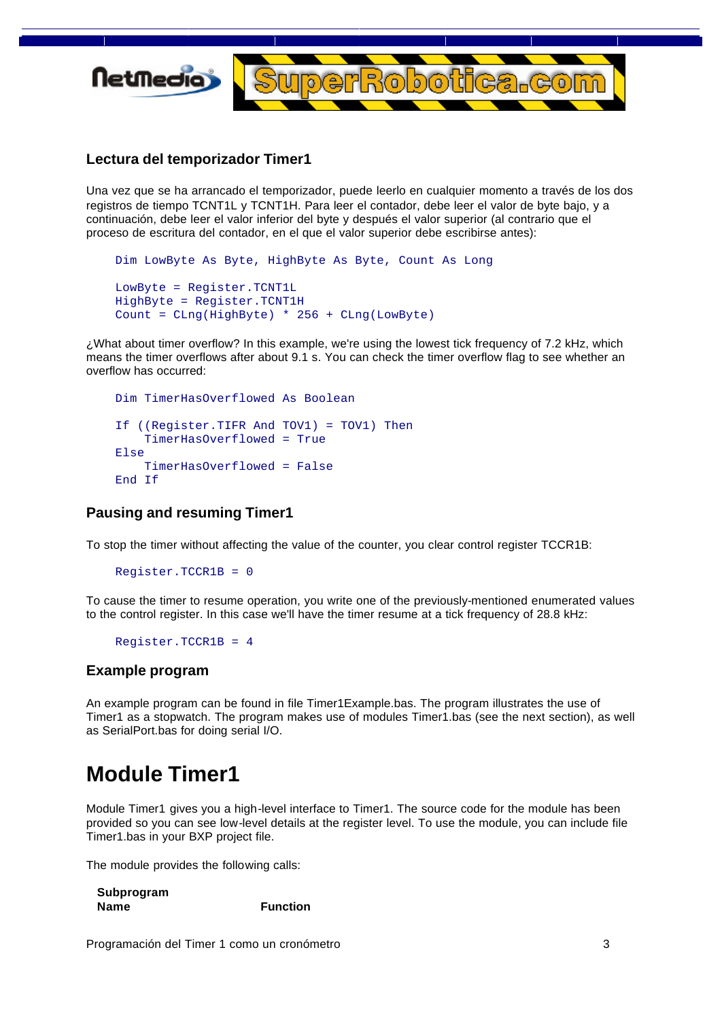

#### **Lectura del temporizador Timer1**

Una vez que se ha arrancado el temporizador, puede leerlo en cualquier momento a través de los dos registros de tiempo TCNT1L y TCNT1H. Para leer el contador, debe leer el valor de byte bajo, y a continuación, debe leer el valor inferior del byte y después el valor superior (al contrario que el proceso de escritura del contador, en el que el valor superior debe escribirse antes):

```
 Dim LowByte As Byte, HighByte As Byte, Count As Long
LowByte = Register.TCNT1L
HighByte = Register.TCNT1H
Count = CLng(HighByte) * 256 + CLng(LowByte)
```
¿What about timer overflow? In this example, we're using the lowest tick frequency of 7.2 kHz, which means the timer overflows after about 9.1 s. You can check the timer overflow flag to see whether an overflow has occurred:

```
 Dim TimerHasOverflowed As Boolean
If ((Register.TIFR And TOV1) = TOV1) Then
    TimerHasOverflowed = True
Else
    TimerHasOverflowed = False
End If
```
#### **Pausing and resuming Timer1**

To stop the timer without affecting the value of the counter, you clear control register TCCR1B:

```
 Register.TCCR1B = 0
```
To cause the timer to resume operation, you write one of the previously-mentioned enumerated values to the control register. In this case we'll have the timer resume at a tick frequency of 28.8 kHz:

Register.TCCR1B = 4

#### **Example program**

An example program can be found in file Timer1Example.bas. The program illustrates the use of Timer1 as a stopwatch. The program makes use of modules Timer1.bas (see the next section), as well as SerialPort.bas for doing serial I/O.

### **Module Timer1**

Module Timer1 gives you a high-level interface to Timer1. The source code for the module has been provided so you can see low-level details at the register level. To use the module, you can include file Timer1.bas in your BXP project file.

The module provides the following calls:

| Subprogram  |                 |
|-------------|-----------------|
| <b>Name</b> | <b>Function</b> |

Programación del Timer 1 como un cronómetro 3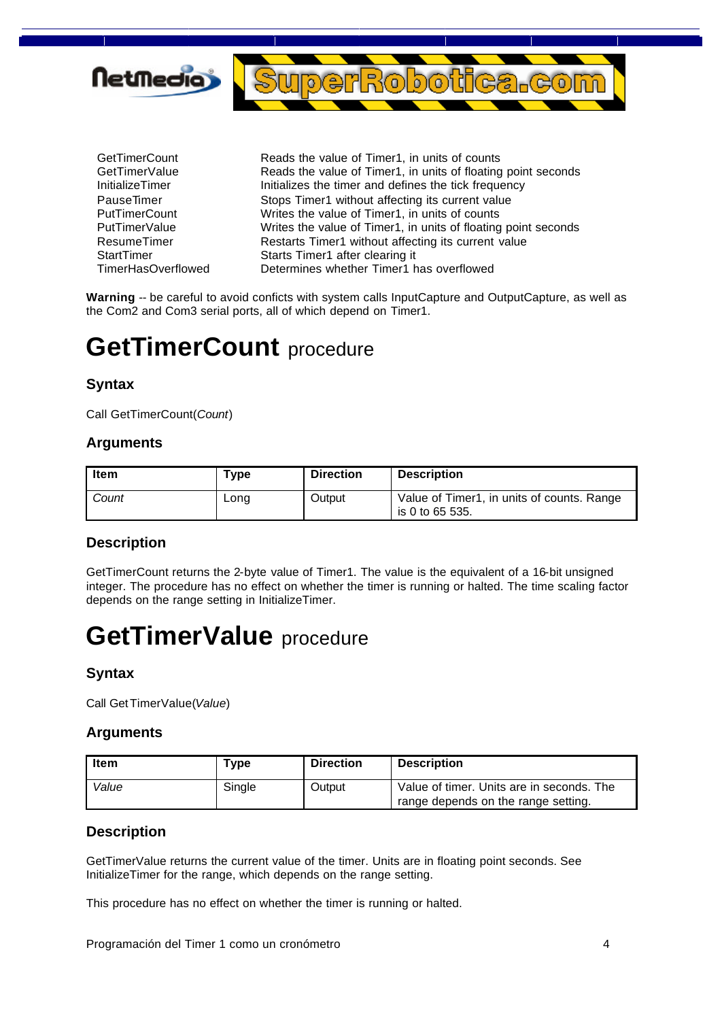

GetTimerCount **Reads** the value of Timer1, in units of counts GetTimerValue Reads the value of Timer1, in units of floating point seconds InitializeTimer **Initializes** the timer and defines the tick frequency PauseTimer Stops Timer1 without affecting its current value PutTimerCount Writes the value of Timer1, in units of counts PutTimerValue **Writes the value of Timer1**, in units of floating point seconds ResumeTimer Restarts Timer1 without affecting its current value StartTimer Starts Timer1 after clearing it TimerHasOverflowed Determines whether Timer1 has overflowed

Warning -- be careful to avoid conficts with system calls InputCapture and OutputCapture, as well as the Com2 and Com3 serial ports, all of which depend on Timer1.

### **GetTimerCount** procedure

#### **Syntax**

Call GetTimerCount(*Count*)

#### **Arguments**

| ltem  | туре | <b>Direction</b> | <b>Description</b>                                            |
|-------|------|------------------|---------------------------------------------------------------|
| Count | Long | Output           | Value of Timer1, in units of counts. Range<br>is 0 to 65 535. |

#### **Description**

GetTimerCount returns the 2-byte value of Timer1. The value is the equivalent of a 16-bit unsigned integer. The procedure has no effect on whether the timer is running or halted. The time scaling factor depends on the range setting in InitializeTimer.

## **GetTimerValue** procedure

#### **Syntax**

Call GetTimerValue(*Value*)

#### **Arguments**

| Item  | туре   | <b>Direction</b> | <b>Description</b>                        |
|-------|--------|------------------|-------------------------------------------|
| Value | Single | Output           | Value of timer. Units are in seconds. The |
|       |        |                  | range depends on the range setting.       |

#### **Description**

GetTimerValue returns the current value of the timer. Units are in floating point seconds. See InitializeTimer for the range, which depends on the range setting.

This procedure has no effect on whether the timer is running or halted.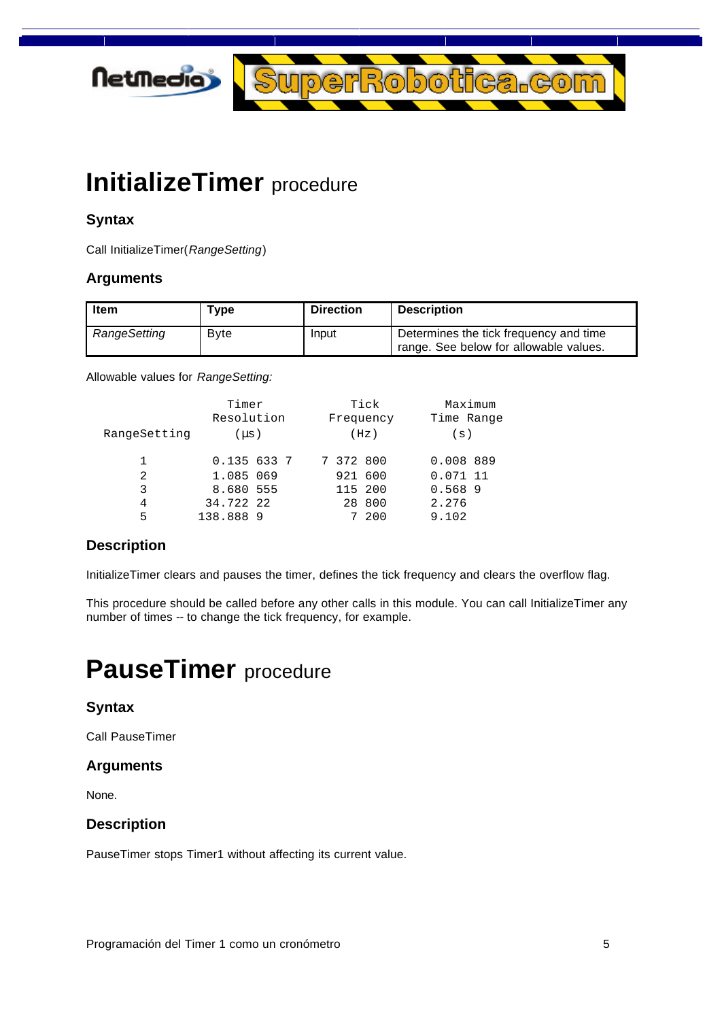

## **InitializeTimer** procedure

#### **Syntax**

Call InitializeTimer(*RangeSetting*)

#### **Arguments**

| i Item       | Type        | <b>Direction</b> | Description                                                                      |
|--------------|-------------|------------------|----------------------------------------------------------------------------------|
| RangeSetting | <b>Byte</b> | Input            | Determines the tick frequency and time<br>range. See below for allowable values. |

Allowable values for *RangeSetting:*

|              | Timer      |  | Tick      |           |            | Maximum |  |
|--------------|------------|--|-----------|-----------|------------|---------|--|
|              | Resolution |  |           | Frequency | Time Range |         |  |
| RangeSetting | $(\mu s)$  |  |           | (Hz)      | (s)        |         |  |
| 1            | 0.1356337  |  | 7 372 800 |           | 0.008 889  |         |  |
| 2            | 1.085 069  |  |           | 921 600   | $0.071$ 11 |         |  |
| 3            | 8.680 555  |  |           | 115 200   | 0.5689     |         |  |
| 4            | 34.722 22  |  |           | 28 800    | 2.276      |         |  |
| 5            | 138.888 9  |  |           | 200       | 9.102      |         |  |

#### **Description**

InitializeTimer clears and pauses the timer, defines the tick frequency and clears the overflow flag.

This procedure should be called before any other calls in this module. You can call InitializeTimer any number of times -- to change the tick frequency, for example.

## **PauseTimer** procedure

#### **Syntax**

Call PauseTimer

#### **Arguments**

None.

#### **Description**

PauseTimer stops Timer1 without affecting its current value.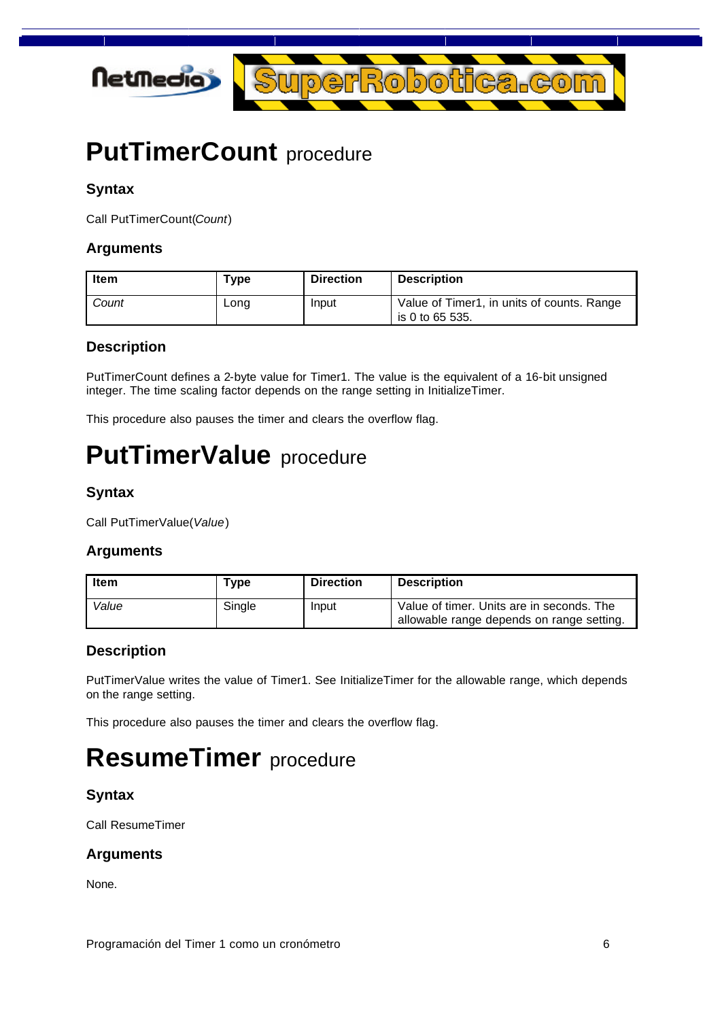

## **PutTimerCount** procedure

#### **Syntax**

Call PutTimerCount(*Count*)

#### **Arguments**

| ltem  | Type | <b>Direction</b> | <b>Description</b>                                            |
|-------|------|------------------|---------------------------------------------------------------|
| Count | Long | Input            | Value of Timer1, in units of counts. Range<br>is 0 to 65 535. |

#### **Description**

PutTimerCount defines a 2-byte value for Timer1. The value is the equivalent of a 16-bit unsigned integer. The time scaling factor depends on the range setting in InitializeTimer.

This procedure also pauses the timer and clears the overflow flag.

## **PutTimerValue** procedure

#### **Syntax**

Call PutTimerValue(*Value*)

#### **Arguments**

| ltem  | Type   | <b>Direction</b> | <b>Description</b>                                                                     |
|-------|--------|------------------|----------------------------------------------------------------------------------------|
| Value | Single | Input            | Value of timer. Units are in seconds. The<br>allowable range depends on range setting. |

#### **Description**

PutTimerValue writes the value of Timer1. See InitializeTimer for the allowable range, which depends on the range setting.

This procedure also pauses the timer and clears the overflow flag.

## **ResumeTimer** procedure

#### **Syntax**

Call ResumeTimer

#### **Arguments**

None.